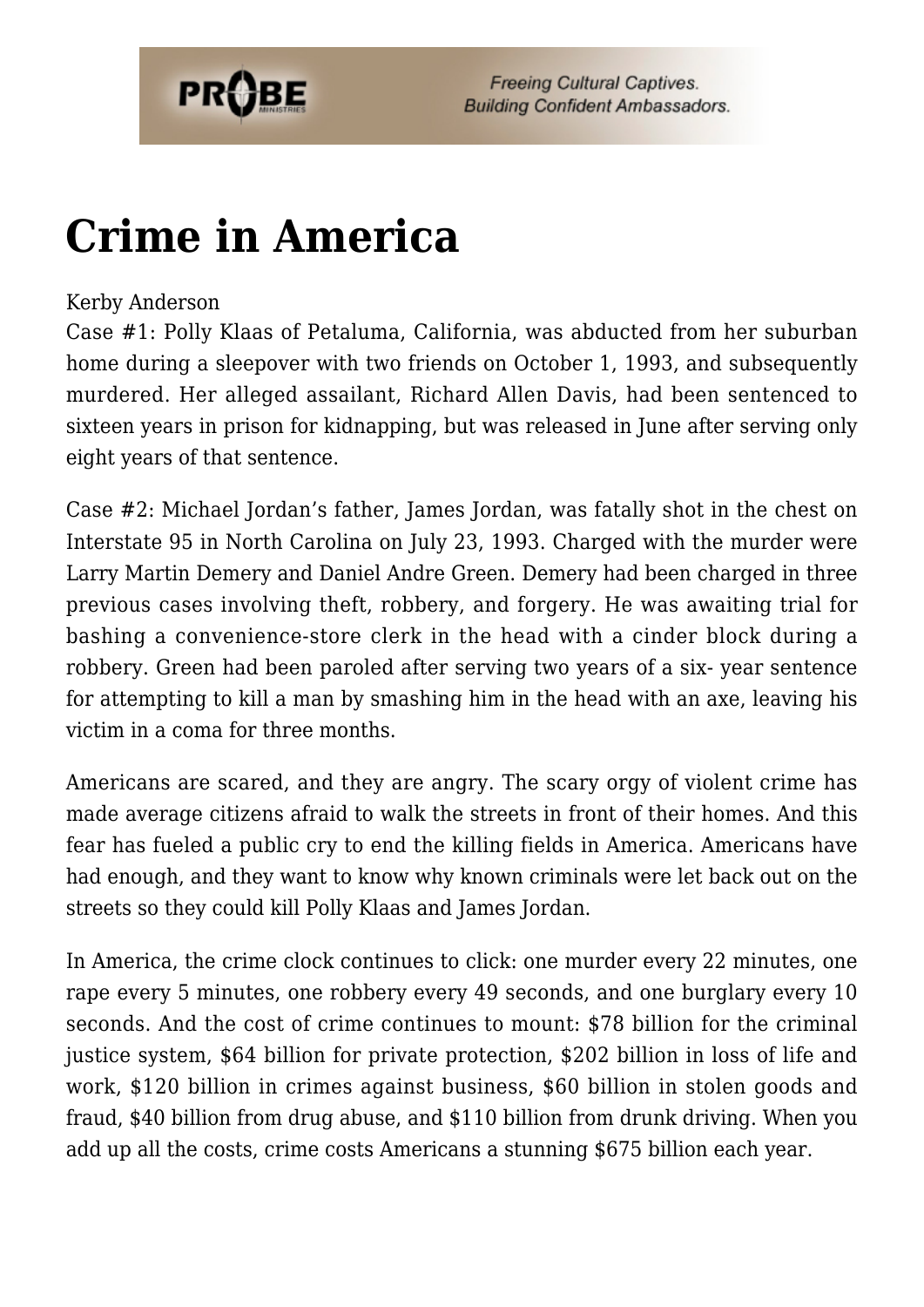

# **[Crime in America](https://probe.org/crime-in-america/)**

#### Kerby Anderson

Case #1: Polly Klaas of Petaluma, California, was abducted from her suburban home during a sleepover with two friends on October 1, 1993, and subsequently murdered. Her alleged assailant, Richard Allen Davis, had been sentenced to sixteen years in prison for kidnapping, but was released in June after serving only eight years of that sentence.

Case #2: Michael Jordan's father, James Jordan, was fatally shot in the chest on Interstate 95 in North Carolina on July 23, 1993. Charged with the murder were Larry Martin Demery and Daniel Andre Green. Demery had been charged in three previous cases involving theft, robbery, and forgery. He was awaiting trial for bashing a convenience-store clerk in the head with a cinder block during a robbery. Green had been paroled after serving two years of a six- year sentence for attempting to kill a man by smashing him in the head with an axe, leaving his victim in a coma for three months.

Americans are scared, and they are angry. The scary orgy of violent crime has made average citizens afraid to walk the streets in front of their homes. And this fear has fueled a public cry to end the killing fields in America. Americans have had enough, and they want to know why known criminals were let back out on the streets so they could kill Polly Klaas and James Jordan.

In America, the crime clock continues to click: one murder every 22 minutes, one rape every 5 minutes, one robbery every 49 seconds, and one burglary every 10 seconds. And the cost of crime continues to mount: \$78 billion for the criminal justice system, \$64 billion for private protection, \$202 billion in loss of life and work, \$120 billion in crimes against business, \$60 billion in stolen goods and fraud, \$40 billion from drug abuse, and \$110 billion from drunk driving. When you add up all the costs, crime costs Americans a stunning \$675 billion each year.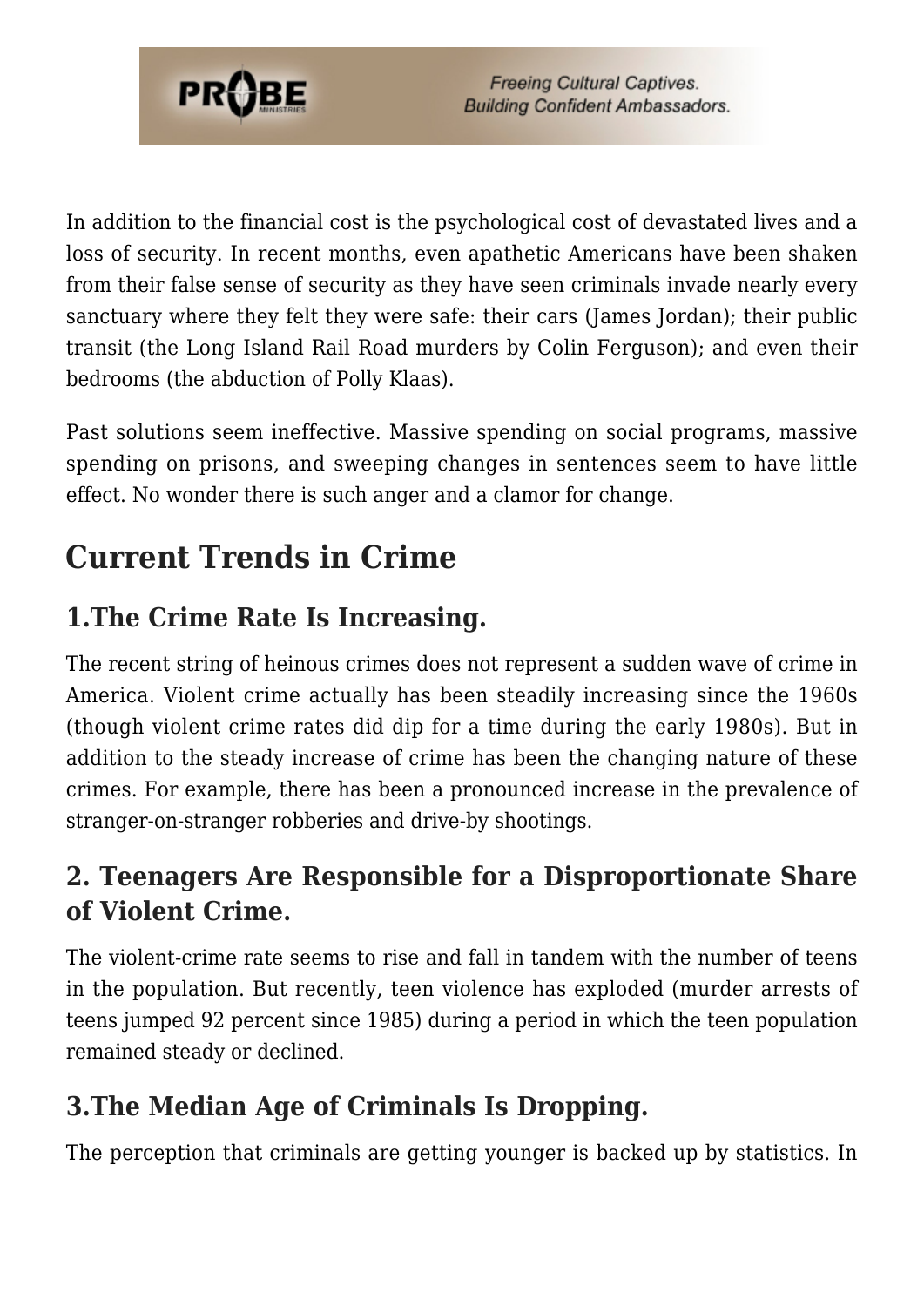

In addition to the financial cost is the psychological cost of devastated lives and a loss of security. In recent months, even apathetic Americans have been shaken from their false sense of security as they have seen criminals invade nearly every sanctuary where they felt they were safe: their cars (James Jordan); their public transit (the Long Island Rail Road murders by Colin Ferguson); and even their bedrooms (the abduction of Polly Klaas).

Past solutions seem ineffective. Massive spending on social programs, massive spending on prisons, and sweeping changes in sentences seem to have little effect. No wonder there is such anger and a clamor for change.

# **Current Trends in Crime**

## **1.The Crime Rate Is Increasing.**

The recent string of heinous crimes does not represent a sudden wave of crime in America. Violent crime actually has been steadily increasing since the 1960s (though violent crime rates did dip for a time during the early 1980s). But in addition to the steady increase of crime has been the changing nature of these crimes. For example, there has been a pronounced increase in the prevalence of stranger-on-stranger robberies and drive-by shootings.

## **2. Teenagers Are Responsible for a Disproportionate Share of Violent Crime.**

The violent-crime rate seems to rise and fall in tandem with the number of teens in the population. But recently, teen violence has exploded (murder arrests of teens jumped 92 percent since 1985) during a period in which the teen population remained steady or declined.

## **3.The Median Age of Criminals Is Dropping.**

The perception that criminals are getting younger is backed up by statistics. In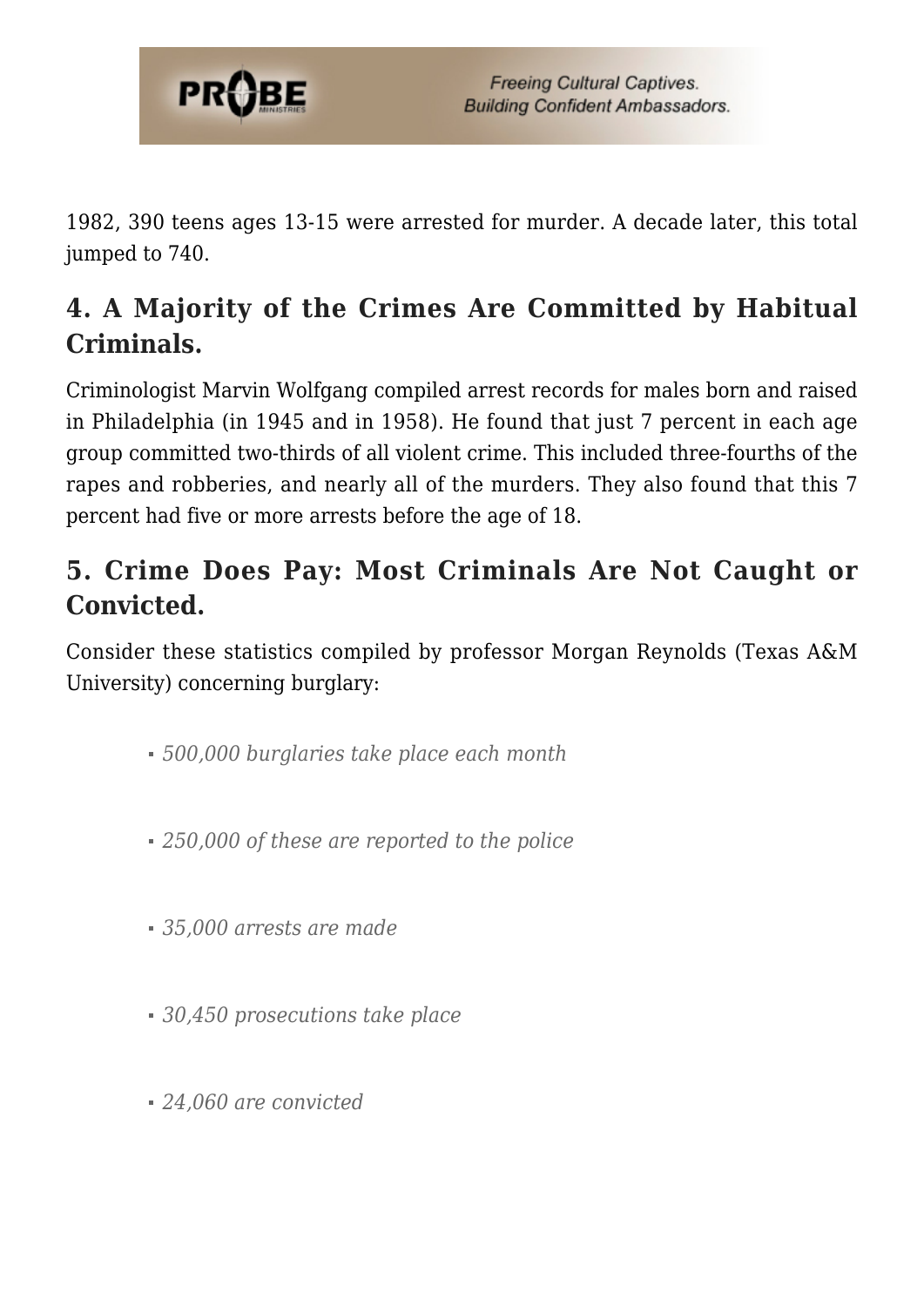

1982, 390 teens ages 13-15 were arrested for murder. A decade later, this total jumped to 740.

## **4. A Majority of the Crimes Are Committed by Habitual Criminals.**

Criminologist Marvin Wolfgang compiled arrest records for males born and raised in Philadelphia (in 1945 and in 1958). He found that just 7 percent in each age group committed two-thirds of all violent crime. This included three-fourths of the rapes and robberies, and nearly all of the murders. They also found that this 7 percent had five or more arrests before the age of 18.

## **5. Crime Does Pay: Most Criminals Are Not Caught or Convicted.**

Consider these statistics compiled by professor Morgan Reynolds (Texas A&M University) concerning burglary:

- *500,000 burglaries take place each month*
- *250,000 of these are reported to the police*
- *35,000 arrests are made*
- *30,450 prosecutions take place*
- *24,060 are convicted*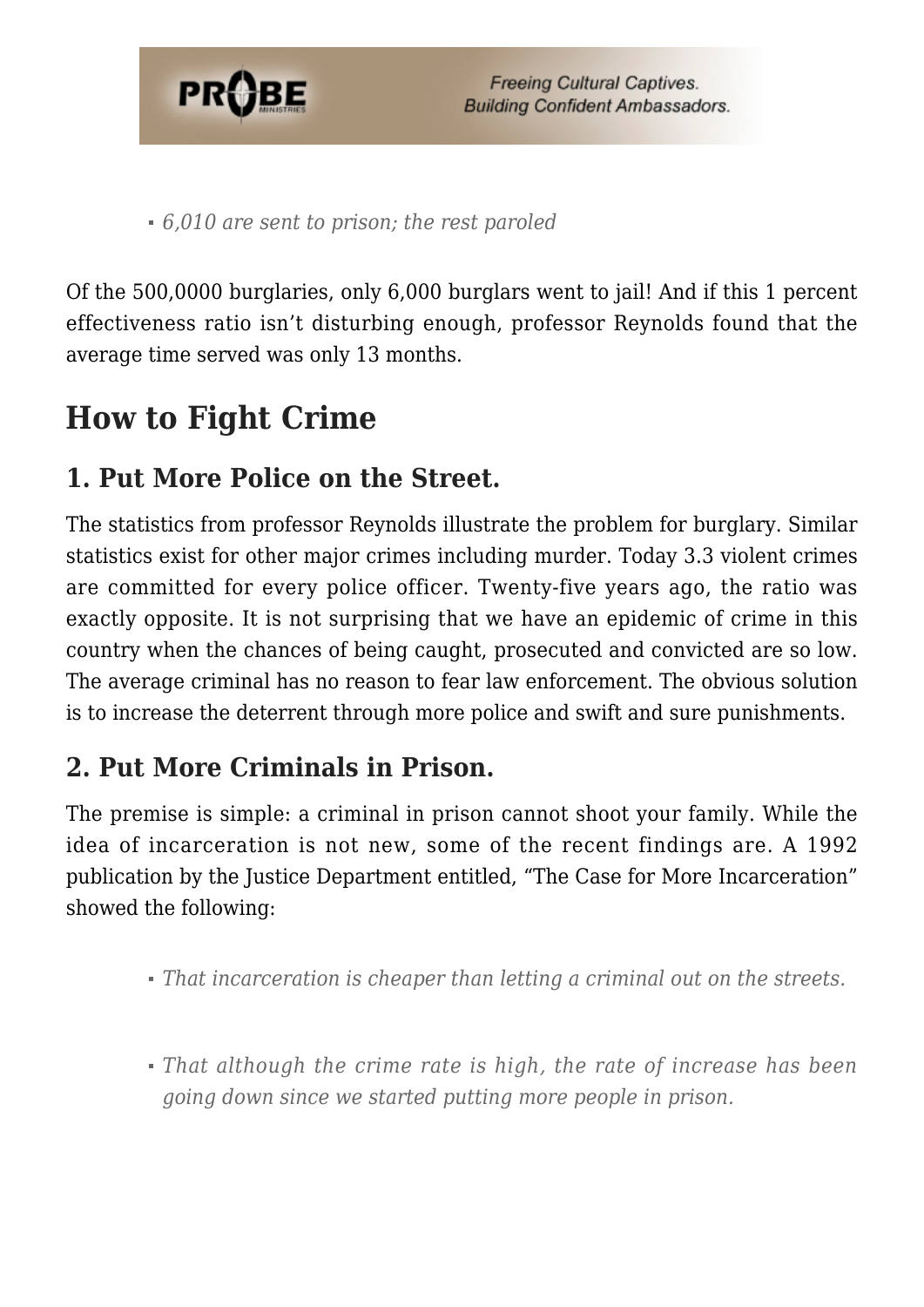

*6,010 are sent to prison; the rest paroled*

Of the 500,0000 burglaries, only 6,000 burglars went to jail! And if this 1 percent effectiveness ratio isn't disturbing enough, professor Reynolds found that the average time served was only 13 months.

## **How to Fight Crime**

### **1. Put More Police on the Street.**

The statistics from professor Reynolds illustrate the problem for burglary. Similar statistics exist for other major crimes including murder. Today 3.3 violent crimes are committed for every police officer. Twenty-five years ago, the ratio was exactly opposite. It is not surprising that we have an epidemic of crime in this country when the chances of being caught, prosecuted and convicted are so low. The average criminal has no reason to fear law enforcement. The obvious solution is to increase the deterrent through more police and swift and sure punishments.

## **2. Put More Criminals in Prison.**

The premise is simple: a criminal in prison cannot shoot your family. While the idea of incarceration is not new, some of the recent findings are. A 1992 publication by the Justice Department entitled, "The Case for More Incarceration" showed the following:

- *That incarceration is cheaper than letting a criminal out on the streets.*
- *That although the crime rate is high, the rate of increase has been going down since we started putting more people in prison.*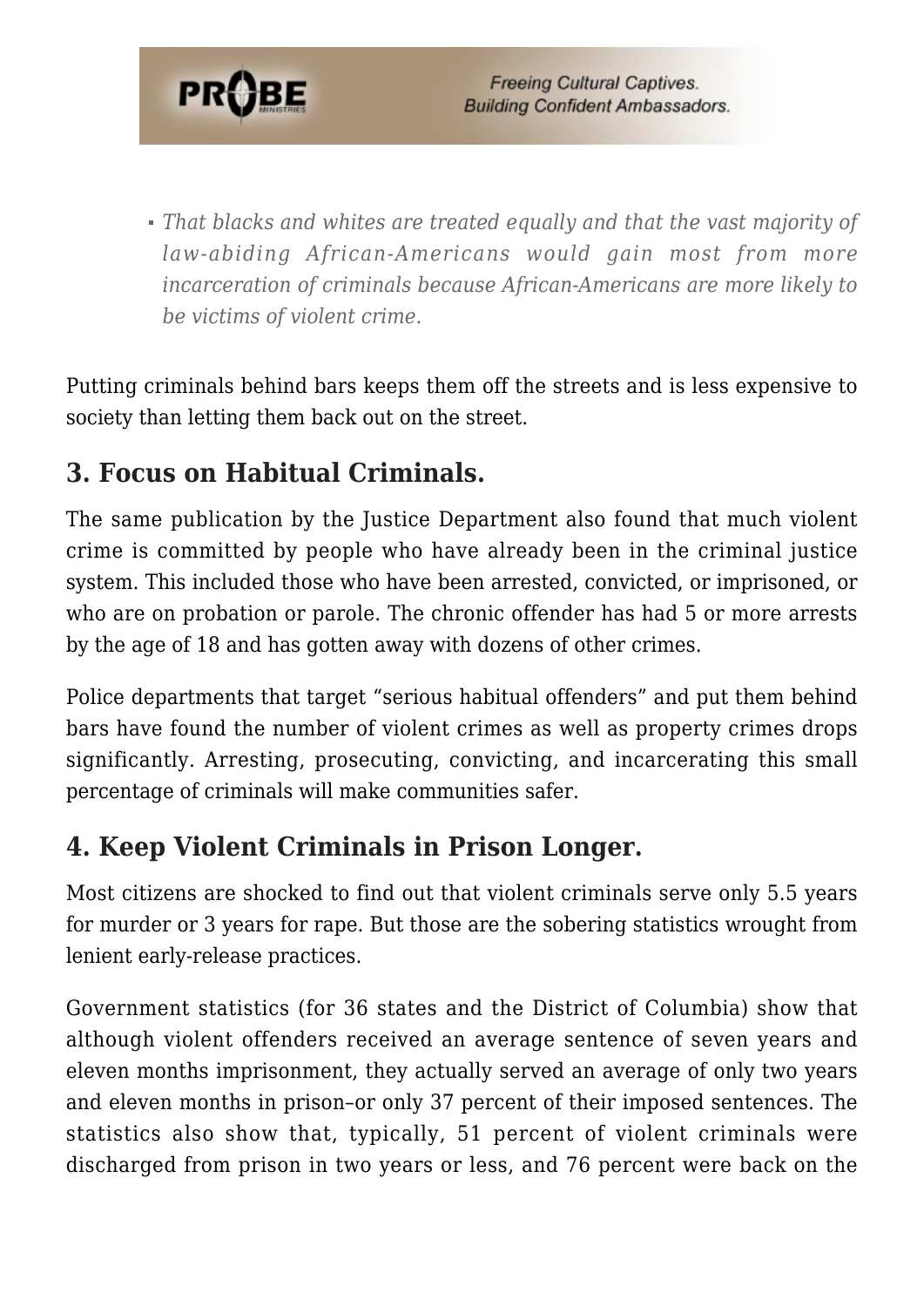

*That blacks and whites are treated equally and that the vast majority of law-abiding African-Americans would gain most from more incarceration of criminals because African-Americans are more likely to be victims of violent crime.*

Putting criminals behind bars keeps them off the streets and is less expensive to society than letting them back out on the street.

## **3. Focus on Habitual Criminals.**

The same publication by the Justice Department also found that much violent crime is committed by people who have already been in the criminal justice system. This included those who have been arrested, convicted, or imprisoned, or who are on probation or parole. The chronic offender has had 5 or more arrests by the age of 18 and has gotten away with dozens of other crimes.

Police departments that target "serious habitual offenders" and put them behind bars have found the number of violent crimes as well as property crimes drops significantly. Arresting, prosecuting, convicting, and incarcerating this small percentage of criminals will make communities safer.

## **4. Keep Violent Criminals in Prison Longer.**

Most citizens are shocked to find out that violent criminals serve only 5.5 years for murder or 3 years for rape. But those are the sobering statistics wrought from lenient early-release practices.

Government statistics (for 36 states and the District of Columbia) show that although violent offenders received an average sentence of seven years and eleven months imprisonment, they actually served an average of only two years and eleven months in prison–or only 37 percent of their imposed sentences. The statistics also show that, typically, 51 percent of violent criminals were discharged from prison in two years or less, and 76 percent were back on the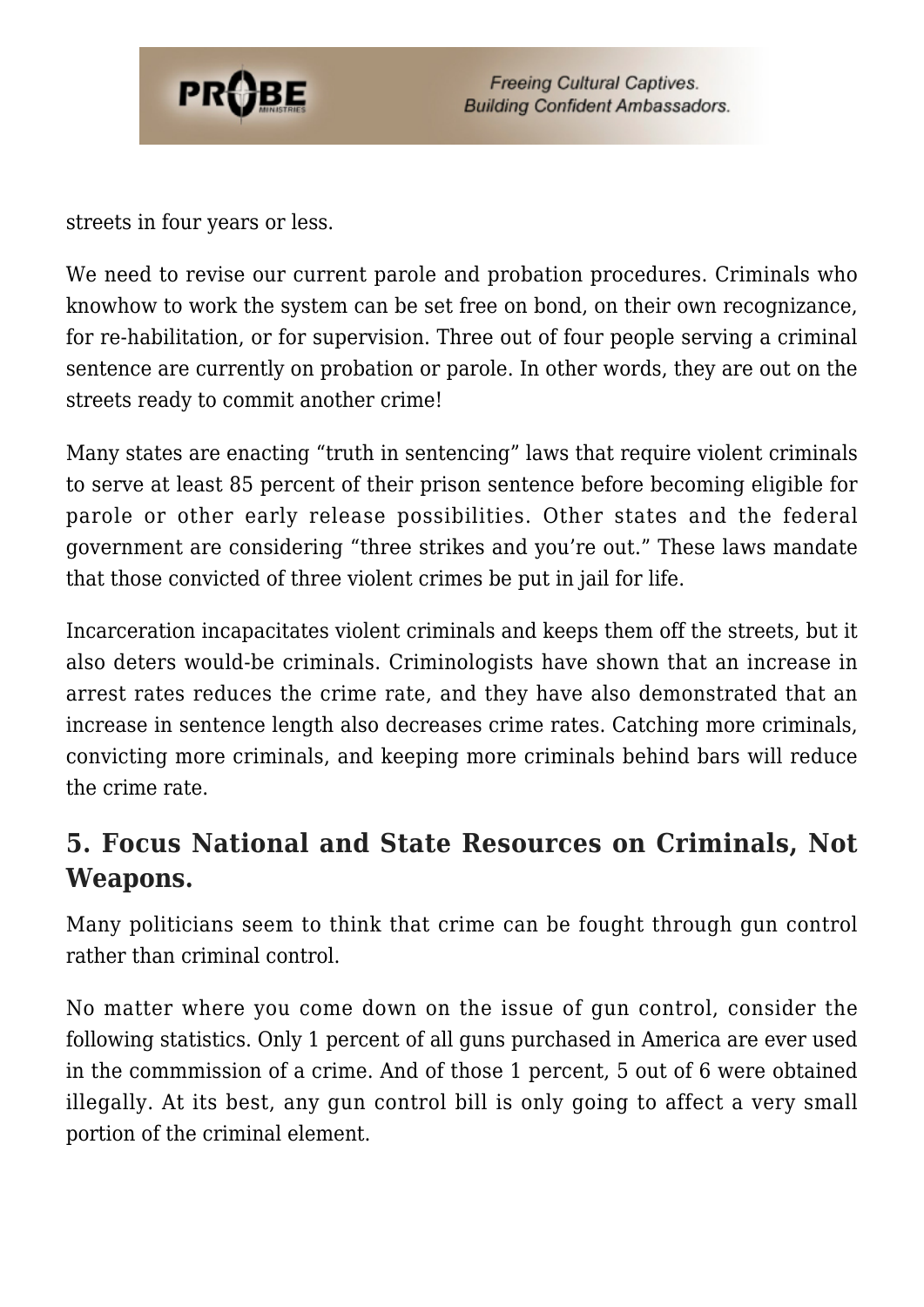

streets in four years or less.

We need to revise our current parole and probation procedures. Criminals who knowhow to work the system can be set free on bond, on their own recognizance, for re-habilitation, or for supervision. Three out of four people serving a criminal sentence are currently on probation or parole. In other words, they are out on the streets ready to commit another crime!

Many states are enacting "truth in sentencing" laws that require violent criminals to serve at least 85 percent of their prison sentence before becoming eligible for parole or other early release possibilities. Other states and the federal government are considering "three strikes and you're out." These laws mandate that those convicted of three violent crimes be put in jail for life.

Incarceration incapacitates violent criminals and keeps them off the streets, but it also deters would-be criminals. Criminologists have shown that an increase in arrest rates reduces the crime rate, and they have also demonstrated that an increase in sentence length also decreases crime rates. Catching more criminals, convicting more criminals, and keeping more criminals behind bars will reduce the crime rate.

## **5. Focus National and State Resources on Criminals, Not Weapons.**

Many politicians seem to think that crime can be fought through gun control rather than criminal control.

No matter where you come down on the issue of gun control, consider the following statistics. Only 1 percent of all guns purchased in America are ever used in the commmission of a crime. And of those 1 percent, 5 out of 6 were obtained illegally. At its best, any gun control bill is only going to affect a very small portion of the criminal element.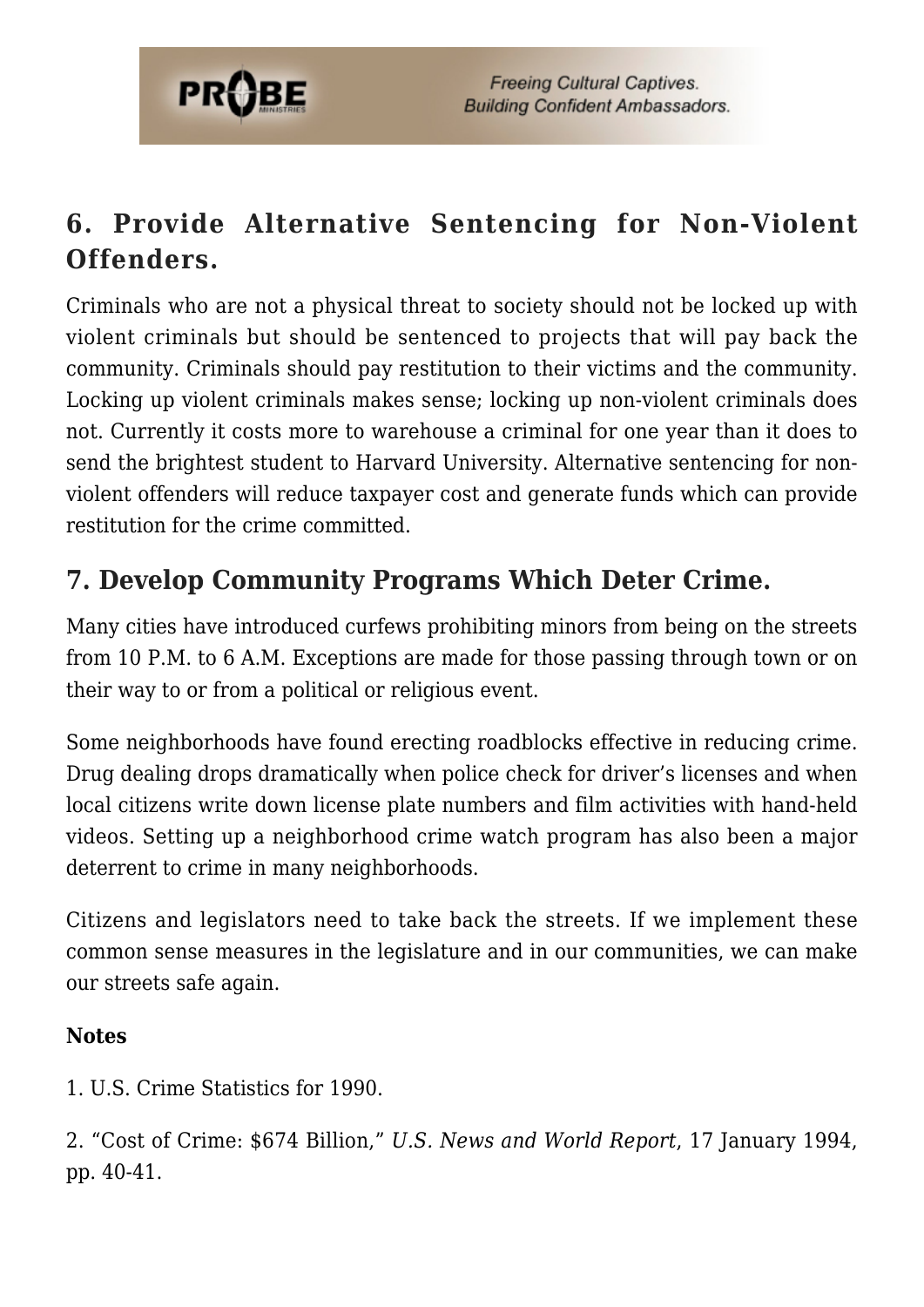

## **6. Provide Alternative Sentencing for Non-Violent Offenders.**

Criminals who are not a physical threat to society should not be locked up with violent criminals but should be sentenced to projects that will pay back the community. Criminals should pay restitution to their victims and the community. Locking up violent criminals makes sense; locking up non-violent criminals does not. Currently it costs more to warehouse a criminal for one year than it does to send the brightest student to Harvard University. Alternative sentencing for nonviolent offenders will reduce taxpayer cost and generate funds which can provide restitution for the crime committed.

## **7. Develop Community Programs Which Deter Crime.**

Many cities have introduced curfews prohibiting minors from being on the streets from 10 P.M. to 6 A.M. Exceptions are made for those passing through town or on their way to or from a political or religious event.

Some neighborhoods have found erecting roadblocks effective in reducing crime. Drug dealing drops dramatically when police check for driver's licenses and when local citizens write down license plate numbers and film activities with hand-held videos. Setting up a neighborhood crime watch program has also been a major deterrent to crime in many neighborhoods.

Citizens and legislators need to take back the streets. If we implement these common sense measures in the legislature and in our communities, we can make our streets safe again.

#### **Notes**

1. U.S. Crime Statistics for 1990.

2. "Cost of Crime: \$674 Billion," *U.S. News and World Report*, 17 January 1994, pp. 40-41.